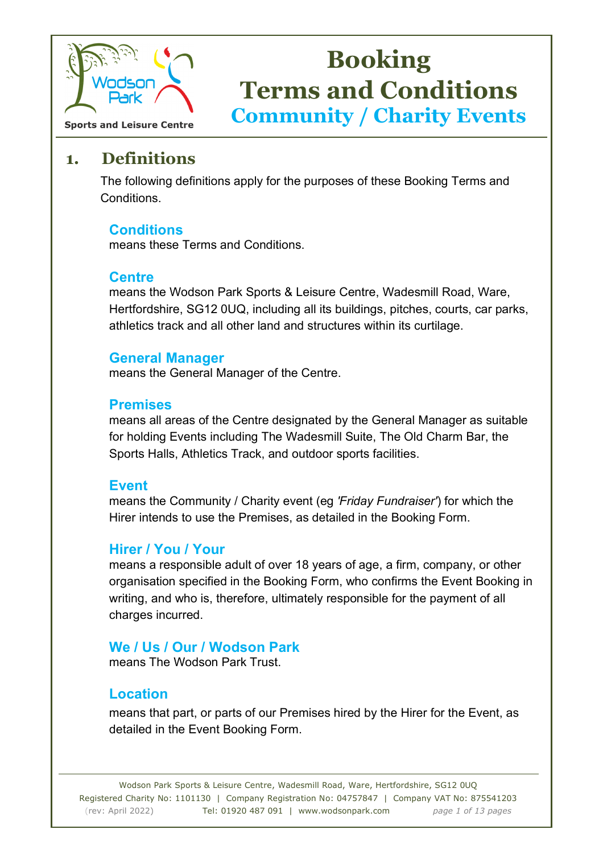

**Sports and Leisure Centre** 

## **1. Definitions**

 The following definitions apply for the purposes of these Booking Terms and Conditions.

#### **Conditions**

means these Terms and Conditions.

#### **Centre**

means the Wodson Park Sports & Leisure Centre, Wadesmill Road, Ware, Hertfordshire, SG12 0UQ, including all its buildings, pitches, courts, car parks, athletics track and all other land and structures within its curtilage.

#### **General Manager**

means the General Manager of the Centre.

#### **Premises**

means all areas of the Centre designated by the General Manager as suitable for holding Events including The Wadesmill Suite, The Old Charm Bar, the Sports Halls, Athletics Track, and outdoor sports facilities.

#### **Event**

means the Community / Charity event (eg *'Friday Fundraiser'*) for which the Hirer intends to use the Premises, as detailed in the Booking Form.

#### **Hirer / You / Your**

means a responsible adult of over 18 years of age, a firm, company, or other organisation specified in the Booking Form, who confirms the Event Booking in writing, and who is, therefore, ultimately responsible for the payment of all charges incurred.

#### **We / Us / Our / Wodson Park**

means The Wodson Park Trust.

#### **Location**

means that part, or parts of our Premises hired by the Hirer for the Event, as detailed in the Event Booking Form.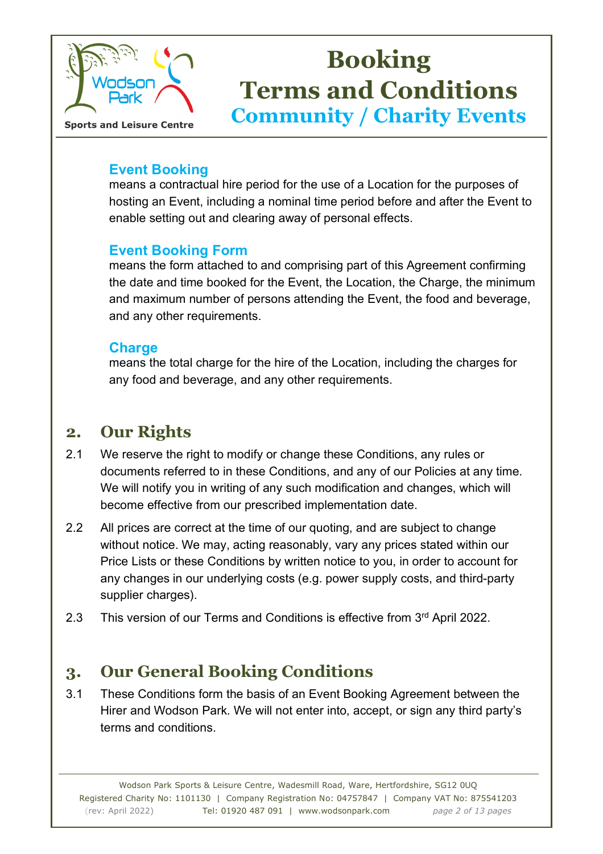

#### **Event Booking**

means a contractual hire period for the use of a Location for the purposes of hosting an Event, including a nominal time period before and after the Event to enable setting out and clearing away of personal effects.

#### **Event Booking Form**

means the form attached to and comprising part of this Agreement confirming the date and time booked for the Event, the Location, the Charge, the minimum and maximum number of persons attending the Event, the food and beverage, and any other requirements.

#### **Charge**

means the total charge for the hire of the Location, including the charges for any food and beverage, and any other requirements.

## **2. Our Rights**

- 2.1 We reserve the right to modify or change these Conditions, any rules or documents referred to in these Conditions, and any of our Policies at any time. We will notify you in writing of any such modification and changes, which will become effective from our prescribed implementation date.
- 2.2 All prices are correct at the time of our quoting, and are subject to change without notice. We may, acting reasonably, vary any prices stated within our Price Lists or these Conditions by written notice to you, in order to account for any changes in our underlying costs (e.g. power supply costs, and third-party supplier charges).
- 2.3 This version of our Terms and Conditions is effective from 3<sup>rd</sup> April 2022.

## **3. Our General Booking Conditions**

3.1 These Conditions form the basis of an Event Booking Agreement between the Hirer and Wodson Park. We will not enter into, accept, or sign any third party's terms and conditions.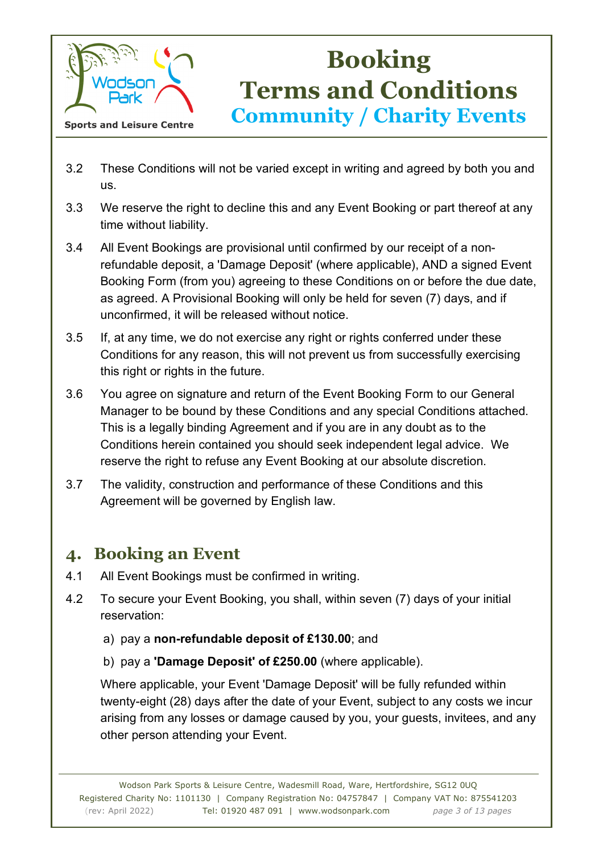

- 3.2 These Conditions will not be varied except in writing and agreed by both you and us.
- 3.3 We reserve the right to decline this and any Event Booking or part thereof at any time without liability.
- 3.4 All Event Bookings are provisional until confirmed by our receipt of a nonrefundable deposit, a 'Damage Deposit' (where applicable), AND a signed Event Booking Form (from you) agreeing to these Conditions on or before the due date, as agreed. A Provisional Booking will only be held for seven (7) days, and if unconfirmed, it will be released without notice.
- 3.5 If, at any time, we do not exercise any right or rights conferred under these Conditions for any reason, this will not prevent us from successfully exercising this right or rights in the future.
- 3.6 You agree on signature and return of the Event Booking Form to our General Manager to be bound by these Conditions and any special Conditions attached. This is a legally binding Agreement and if you are in any doubt as to the Conditions herein contained you should seek independent legal advice. We reserve the right to refuse any Event Booking at our absolute discretion.
- 3.7 The validity, construction and performance of these Conditions and this Agreement will be governed by English law.

## **4. Booking an Event**

- 4.1 All Event Bookings must be confirmed in writing.
- 4.2 To secure your Event Booking, you shall, within seven (7) days of your initial reservation:
	- a) pay a **non-refundable deposit of £130.00**; and
	- b) pay a **'Damage Deposit' of £250.00** (where applicable).

 Where applicable, your Event 'Damage Deposit' will be fully refunded within twenty-eight (28) days after the date of your Event, subject to any costs we incur arising from any losses or damage caused by you, your guests, invitees, and any other person attending your Event.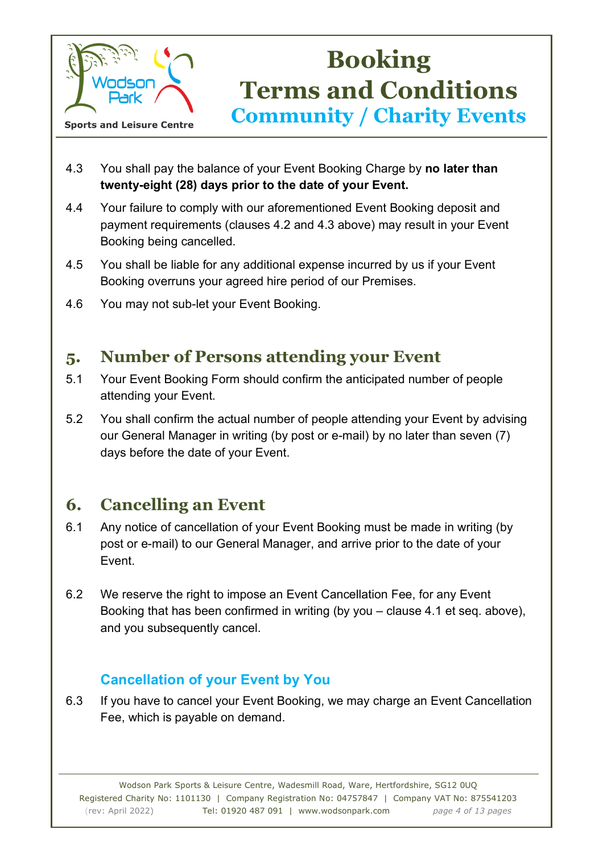

- 4.3 You shall pay the balance of your Event Booking Charge by **no later than twenty-eight (28) days prior to the date of your Event.**
- 4.4 Your failure to comply with our aforementioned Event Booking deposit and payment requirements (clauses 4.2 and 4.3 above) may result in your Event Booking being cancelled.
- 4.5 You shall be liable for any additional expense incurred by us if your Event Booking overruns your agreed hire period of our Premises.
- 4.6 You may not sub-let your Event Booking.

## **5. Number of Persons attending your Event**

- 5.1 Your Event Booking Form should confirm the anticipated number of people attending your Event.
- 5.2 You shall confirm the actual number of people attending your Event by advising our General Manager in writing (by post or e-mail) by no later than seven (7) days before the date of your Event.

## **6. Cancelling an Event**

- 6.1 Any notice of cancellation of your Event Booking must be made in writing (by post or e-mail) to our General Manager, and arrive prior to the date of your Event.
- 6.2 We reserve the right to impose an Event Cancellation Fee, for any Event Booking that has been confirmed in writing (by you – clause 4.1 et seq. above), and you subsequently cancel.

### **Cancellation of your Event by You**

6.3 If you have to cancel your Event Booking, we may charge an Event Cancellation Fee, which is payable on demand.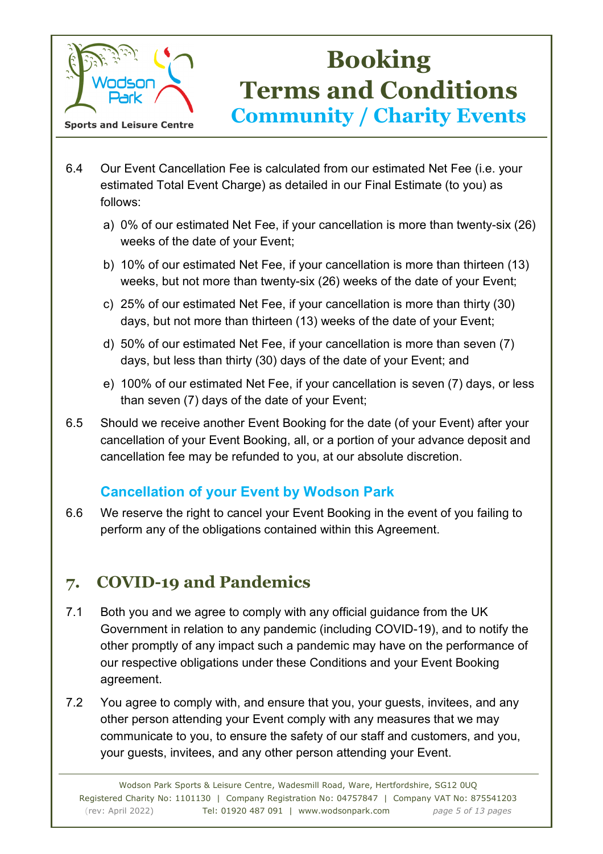

- 6.4 Our Event Cancellation Fee is calculated from our estimated Net Fee (i.e. your estimated Total Event Charge) as detailed in our Final Estimate (to you) as follows:
	- a) 0% of our estimated Net Fee, if your cancellation is more than twenty-six (26) weeks of the date of your Event;
	- b) 10% of our estimated Net Fee, if your cancellation is more than thirteen (13) weeks, but not more than twenty-six (26) weeks of the date of your Event;
	- c) 25% of our estimated Net Fee, if your cancellation is more than thirty (30) days, but not more than thirteen (13) weeks of the date of your Event;
	- d) 50% of our estimated Net Fee, if your cancellation is more than seven (7) days, but less than thirty (30) days of the date of your Event; and
	- e) 100% of our estimated Net Fee, if your cancellation is seven (7) days, or less than seven (7) days of the date of your Event;
- 6.5 Should we receive another Event Booking for the date (of your Event) after your cancellation of your Event Booking, all, or a portion of your advance deposit and cancellation fee may be refunded to you, at our absolute discretion.

### **Cancellation of your Event by Wodson Park**

6.6 We reserve the right to cancel your Event Booking in the event of you failing to perform any of the obligations contained within this Agreement.

## **7. COVID-19 and Pandemics**

- 7.1 Both you and we agree to comply with any official guidance from the UK Government in relation to any pandemic (including COVID-19), and to notify the other promptly of any impact such a pandemic may have on the performance of our respective obligations under these Conditions and your Event Booking agreement.
- 7.2 You agree to comply with, and ensure that you, your guests, invitees, and any other person attending your Event comply with any measures that we may communicate to you, to ensure the safety of our staff and customers, and you, your guests, invitees, and any other person attending your Event.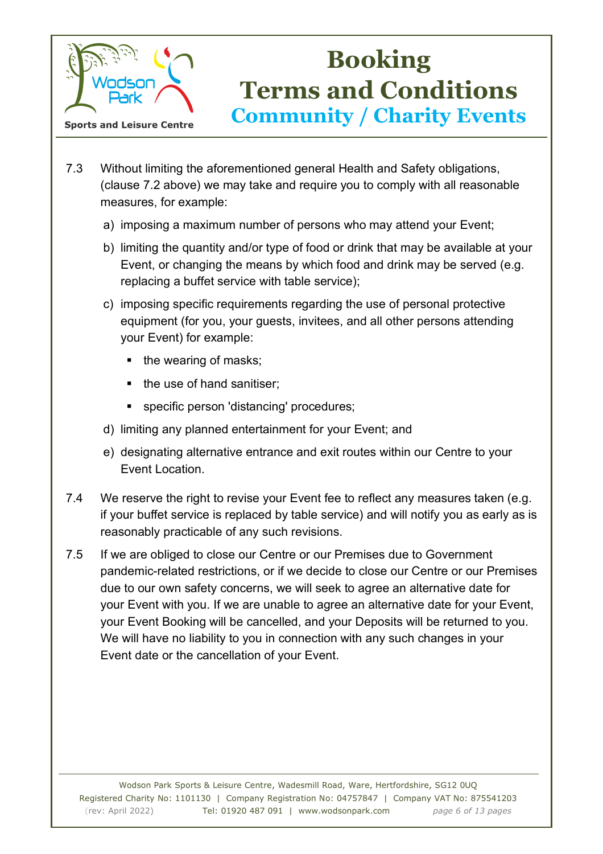

- 7.3 Without limiting the aforementioned general Health and Safety obligations, (clause 7.2 above) we may take and require you to comply with all reasonable measures, for example:
	- a) imposing a maximum number of persons who may attend your Event;
	- b) limiting the quantity and/or type of food or drink that may be available at your Event, or changing the means by which food and drink may be served (e.g. replacing a buffet service with table service);
	- c) imposing specific requirements regarding the use of personal protective equipment (for you, your guests, invitees, and all other persons attending your Event) for example:
		- $\blacksquare$  the wearing of masks;
		- the use of hand sanitiser:
		- specific person 'distancing' procedures;
	- d) limiting any planned entertainment for your Event; and
	- e) designating alternative entrance and exit routes within our Centre to your Event Location.
- 7.4 We reserve the right to revise your Event fee to reflect any measures taken (e.g. if your buffet service is replaced by table service) and will notify you as early as is reasonably practicable of any such revisions.
- 7.5 If we are obliged to close our Centre or our Premises due to Government pandemic-related restrictions, or if we decide to close our Centre or our Premises due to our own safety concerns, we will seek to agree an alternative date for your Event with you. If we are unable to agree an alternative date for your Event, your Event Booking will be cancelled, and your Deposits will be returned to you. We will have no liability to you in connection with any such changes in your Event date or the cancellation of your Event.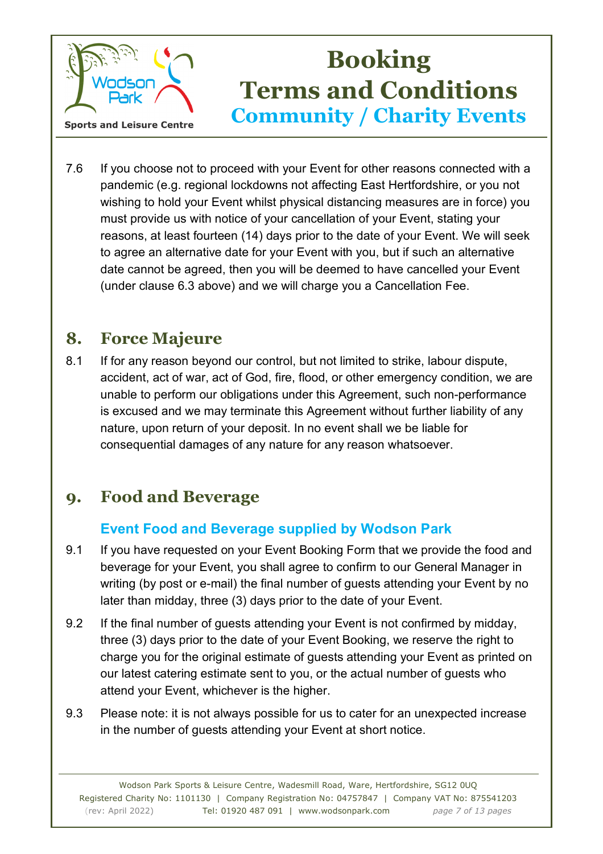

7.6 If you choose not to proceed with your Event for other reasons connected with a pandemic (e.g. regional lockdowns not affecting East Hertfordshire, or you not wishing to hold your Event whilst physical distancing measures are in force) you must provide us with notice of your cancellation of your Event, stating your reasons, at least fourteen (14) days prior to the date of your Event. We will seek to agree an alternative date for your Event with you, but if such an alternative date cannot be agreed, then you will be deemed to have cancelled your Event (under clause 6.3 above) and we will charge you a Cancellation Fee.

## **8. Force Majeure**

8.1 If for any reason beyond our control, but not limited to strike, labour dispute, accident, act of war, act of God, fire, flood, or other emergency condition, we are unable to perform our obligations under this Agreement, such non-performance is excused and we may terminate this Agreement without further liability of any nature, upon return of your deposit. In no event shall we be liable for consequential damages of any nature for any reason whatsoever.

## **9. Food and Beverage**

### **Event Food and Beverage supplied by Wodson Park**

- 9.1 If you have requested on your Event Booking Form that we provide the food and beverage for your Event, you shall agree to confirm to our General Manager in writing (by post or e-mail) the final number of guests attending your Event by no later than midday, three (3) days prior to the date of your Event.
- 9.2 If the final number of guests attending your Event is not confirmed by midday, three (3) days prior to the date of your Event Booking, we reserve the right to charge you for the original estimate of guests attending your Event as printed on our latest catering estimate sent to you, or the actual number of guests who attend your Event, whichever is the higher.
- 9.3 Please note: it is not always possible for us to cater for an unexpected increase in the number of guests attending your Event at short notice.

Wodson Park Sports & Leisure Centre, Wadesmill Road, Ware, Hertfordshire, SG12 0UQ Registered Charity No: 1101130 | Company Registration No: 04757847 | Company VAT No: 875541203 (rev: April 2022) Tel: 01920 487 091 | www.wodsonpark.com *page 7 of 13 pages*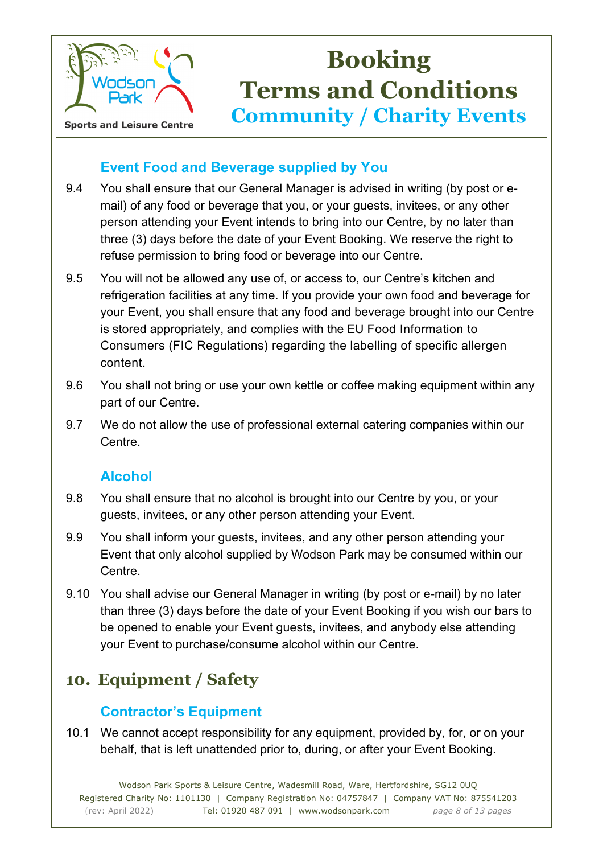

### **Event Food and Beverage supplied by You**

- 9.4 You shall ensure that our General Manager is advised in writing (by post or email) of any food or beverage that you, or your guests, invitees, or any other person attending your Event intends to bring into our Centre, by no later than three (3) days before the date of your Event Booking. We reserve the right to refuse permission to bring food or beverage into our Centre.
- 9.5 You will not be allowed any use of, or access to, our Centre's kitchen and refrigeration facilities at any time. If you provide your own food and beverage for your Event, you shall ensure that any food and beverage brought into our Centre is stored appropriately, and complies with the EU Food Information to Consumers (FIC Regulations) regarding the labelling of specific allergen content.
- 9.6 You shall not bring or use your own kettle or coffee making equipment within any part of our Centre.
- 9.7 We do not allow the use of professional external catering companies within our Centre.

### **Alcohol**

- 9.8 You shall ensure that no alcohol is brought into our Centre by you, or your guests, invitees, or any other person attending your Event.
- 9.9 You shall inform your guests, invitees, and any other person attending your Event that only alcohol supplied by Wodson Park may be consumed within our Centre.
- 9.10 You shall advise our General Manager in writing (by post or e-mail) by no later than three (3) days before the date of your Event Booking if you wish our bars to be opened to enable your Event guests, invitees, and anybody else attending your Event to purchase/consume alcohol within our Centre.

## **10. Equipment / Safety**

### **Contractor's Equipment**

10.1 We cannot accept responsibility for any equipment, provided by, for, or on your behalf, that is left unattended prior to, during, or after your Event Booking.

Wodson Park Sports & Leisure Centre, Wadesmill Road, Ware, Hertfordshire, SG12 0UQ Registered Charity No: 1101130 | Company Registration No: 04757847 | Company VAT No: 875541203 (rev: April 2022) Tel: 01920 487 091 | www.wodsonpark.com *page 8 of 13 pages*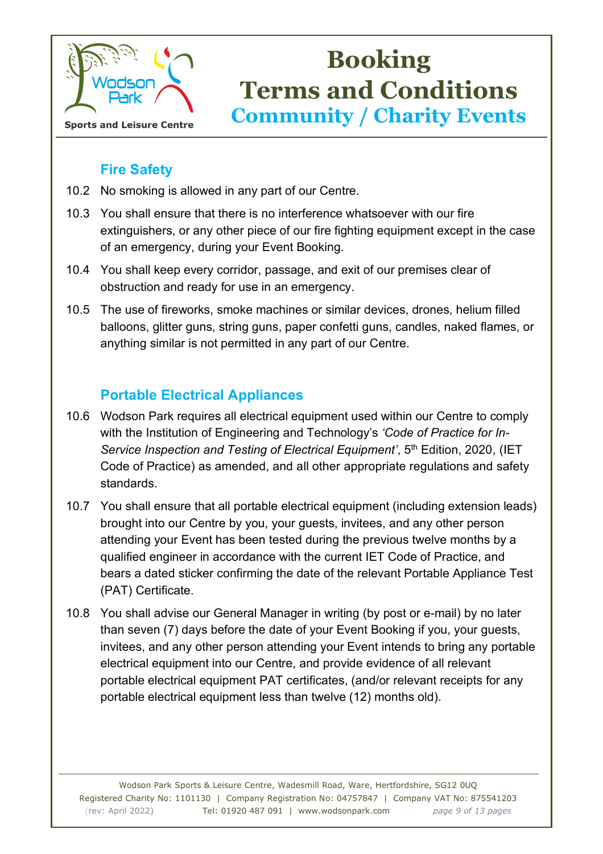

### **Fire Safety**

- 10.2 No smoking is allowed in any part of our Centre.
- 10.3 You shall ensure that there is no interference whatsoever with our fire extinguishers, or any other piece of our fire fighting equipment except in the case of an emergency, during your Event Booking.
- 10.4 You shall keep every corridor, passage, and exit of our premises clear of obstruction and ready for use in an emergency.
- 10.5 The use of fireworks, smoke machines or similar devices, drones, helium filled balloons, glitter guns, string guns, paper confetti guns, candles, naked flames, or anything similar is not permitted in any part of our Centre.

### **Portable Electrical Appliances**

- 10.6 Wodson Park requires all electrical equipment used within our Centre to comply with the Institution of Engineering and Technology's *'Code of Practice for In-Service Inspection and Testing of Electrical Equipment'*, 5<sup>th</sup> Edition, 2020, (IET Code of Practice) as amended, and all other appropriate regulations and safety standards.
- 10.7 You shall ensure that all portable electrical equipment (including extension leads) brought into our Centre by you, your guests, invitees, and any other person attending your Event has been tested during the previous twelve months by a qualified engineer in accordance with the current IET Code of Practice, and bears a dated sticker confirming the date of the relevant Portable Appliance Test (PAT) Certificate.
- 10.8 You shall advise our General Manager in writing (by post or e-mail) by no later than seven (7) days before the date of your Event Booking if you, your guests, invitees, and any other person attending your Event intends to bring any portable electrical equipment into our Centre, and provide evidence of all relevant portable electrical equipment PAT certificates, (and/or relevant receipts for any portable electrical equipment less than twelve (12) months old).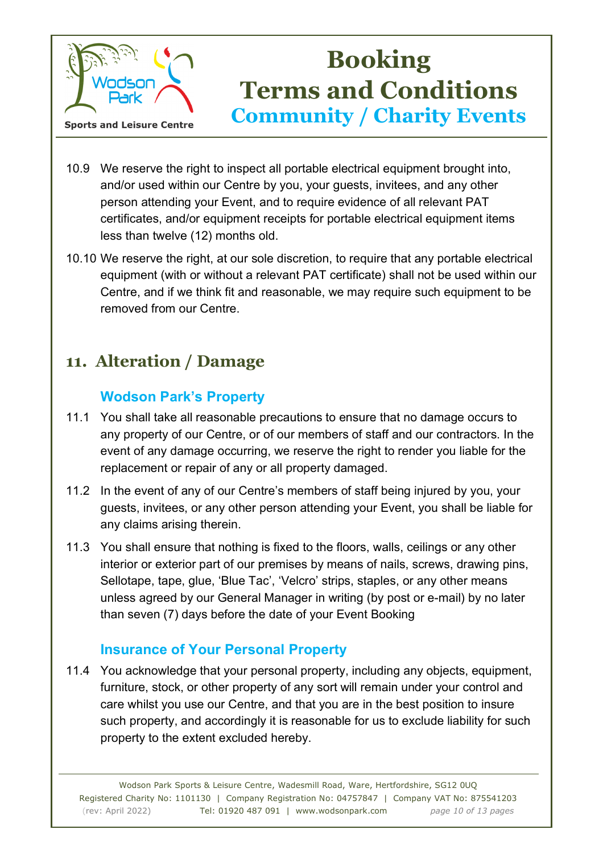

- 10.9 We reserve the right to inspect all portable electrical equipment brought into, and/or used within our Centre by you, your guests, invitees, and any other person attending your Event, and to require evidence of all relevant PAT certificates, and/or equipment receipts for portable electrical equipment items less than twelve (12) months old.
- 10.10 We reserve the right, at our sole discretion, to require that any portable electrical equipment (with or without a relevant PAT certificate) shall not be used within our Centre, and if we think fit and reasonable, we may require such equipment to be removed from our Centre.

## **11. Alteration / Damage**

### **Wodson Park's Property**

- 11.1 You shall take all reasonable precautions to ensure that no damage occurs to any property of our Centre, or of our members of staff and our contractors. In the event of any damage occurring, we reserve the right to render you liable for the replacement or repair of any or all property damaged.
- 11.2 In the event of any of our Centre's members of staff being injured by you, your guests, invitees, or any other person attending your Event, you shall be liable for any claims arising therein.
- 11.3 You shall ensure that nothing is fixed to the floors, walls, ceilings or any other interior or exterior part of our premises by means of nails, screws, drawing pins, Sellotape, tape, glue, 'Blue Tac', 'Velcro' strips, staples, or any other means unless agreed by our General Manager in writing (by post or e-mail) by no later than seven (7) days before the date of your Event Booking

### **Insurance of Your Personal Property**

11.4 You acknowledge that your personal property, including any objects, equipment, furniture, stock, or other property of any sort will remain under your control and care whilst you use our Centre, and that you are in the best position to insure such property, and accordingly it is reasonable for us to exclude liability for such property to the extent excluded hereby.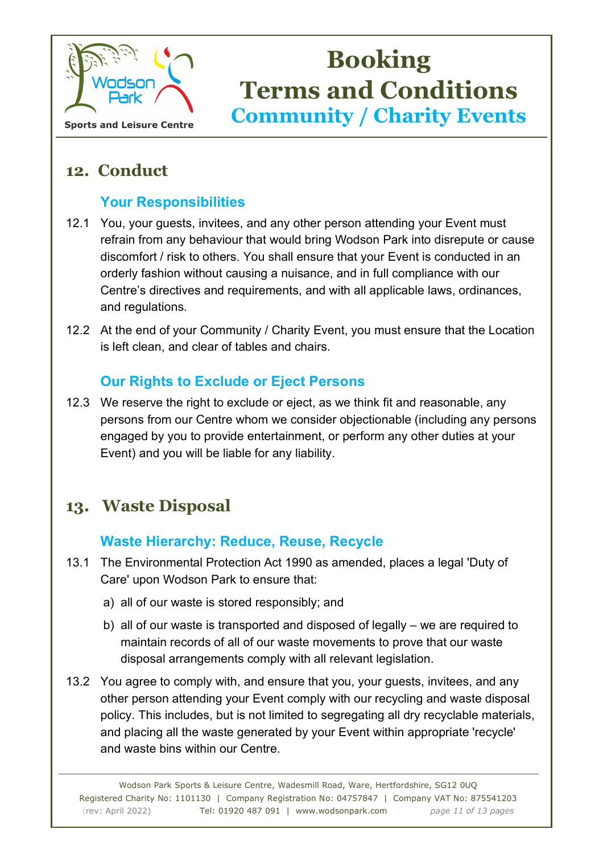

## **12. Conduct**

### **Your Responsibilities**

- 12.1 You, your guests, invitees, and any other person attending your Event must refrain from any behaviour that would bring Wodson Park into disrepute or cause discomfort / risk to others. You shall ensure that your Event is conducted in an orderly fashion without causing a nuisance, and in full compliance with our Centre's directives and requirements, and with all applicable laws, ordinances, and regulations.
- 12.2 At the end of your Community / Charity Event, you must ensure that the Location is left clean, and clear of tables and chairs.

### **Our Rights to Exclude or Eject Persons**

12.3 We reserve the right to exclude or eject, as we think fit and reasonable, any persons from our Centre whom we consider objectionable (including any persons engaged by you to provide entertainment, or perform any other duties at your Event) and you will be liable for any liability.

## **13. Waste Disposal**

### **Waste Hierarchy: Reduce, Reuse, Recycle**

- 13.1 The Environmental Protection Act 1990 as amended, places a legal 'Duty of Care' upon Wodson Park to ensure that:
	- a) all of our waste is stored responsibly; and
	- b) all of our waste is transported and disposed of legally we are required to maintain records of all of our waste movements to prove that our waste disposal arrangements comply with all relevant legislation.
- 13.2 You agree to comply with, and ensure that you, your guests, invitees, and any other person attending your Event comply with our recycling and waste disposal policy. This includes, but is not limited to segregating all dry recyclable materials, and placing all the waste generated by your Event within appropriate 'recycle' and waste bins within our Centre.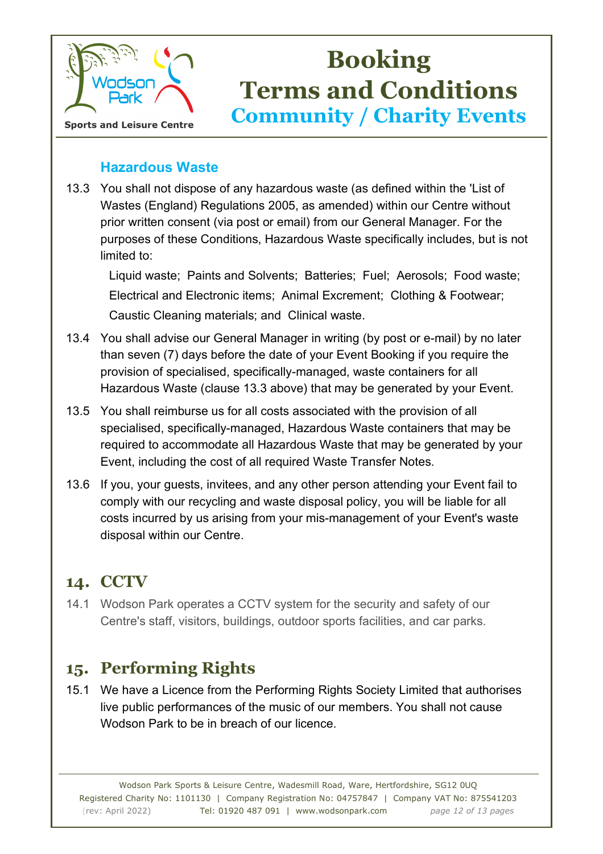

#### **Hazardous Waste**

13.3 You shall not dispose of any hazardous waste (as defined within the 'List of Wastes (England) Regulations 2005, as amended) within our Centre without prior written consent (via post or email) from our General Manager. For the purposes of these Conditions, Hazardous Waste specifically includes, but is not limited to:

Liquid waste; Paints and Solvents; Batteries; Fuel; Aerosols; Food waste; Electrical and Electronic items; Animal Excrement; Clothing & Footwear; Caustic Cleaning materials; and Clinical waste.

- 13.4 You shall advise our General Manager in writing (by post or e-mail) by no later than seven (7) days before the date of your Event Booking if you require the provision of specialised, specifically-managed, waste containers for all Hazardous Waste (clause 13.3 above) that may be generated by your Event.
- 13.5 You shall reimburse us for all costs associated with the provision of all specialised, specifically-managed, Hazardous Waste containers that may be required to accommodate all Hazardous Waste that may be generated by your Event, including the cost of all required Waste Transfer Notes.
- 13.6 If you, your guests, invitees, and any other person attending your Event fail to comply with our recycling and waste disposal policy, you will be liable for all costs incurred by us arising from your mis-management of your Event's waste disposal within our Centre.

## **14. CCTV**

14.1 Wodson Park operates a CCTV system for the security and safety of our Centre's staff, visitors, buildings, outdoor sports facilities, and car parks.

## **15. Performing Rights**

15.1 We have a Licence from the Performing Rights Society Limited that authorises live public performances of the music of our members. You shall not cause Wodson Park to be in breach of our licence.